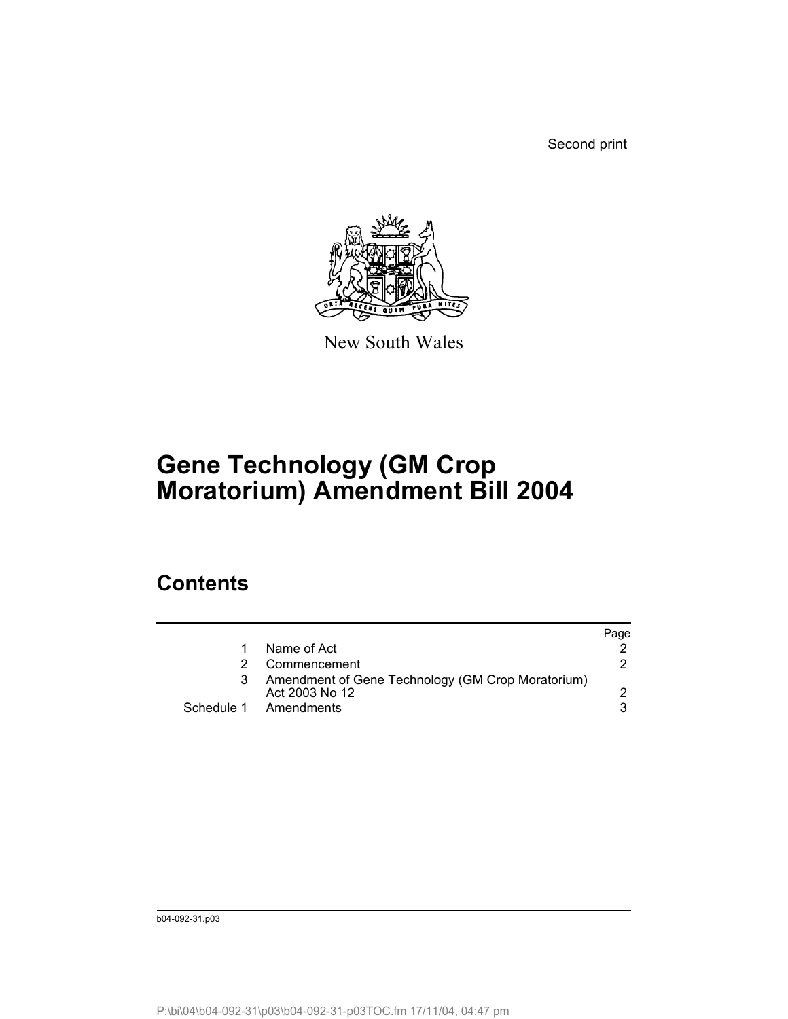Second print



New South Wales

## **Gene Technology (GM Crop Moratorium) Amendment Bill 2004**

## **Contents**

|                                                                     | Page |
|---------------------------------------------------------------------|------|
| Name of Act                                                         |      |
| Commencement                                                        |      |
| Amendment of Gene Technology (GM Crop Moratorium)<br>Act 2003 No 12 |      |
| Schedule 1 Amendments                                               |      |
|                                                                     |      |

b04-092-31.p03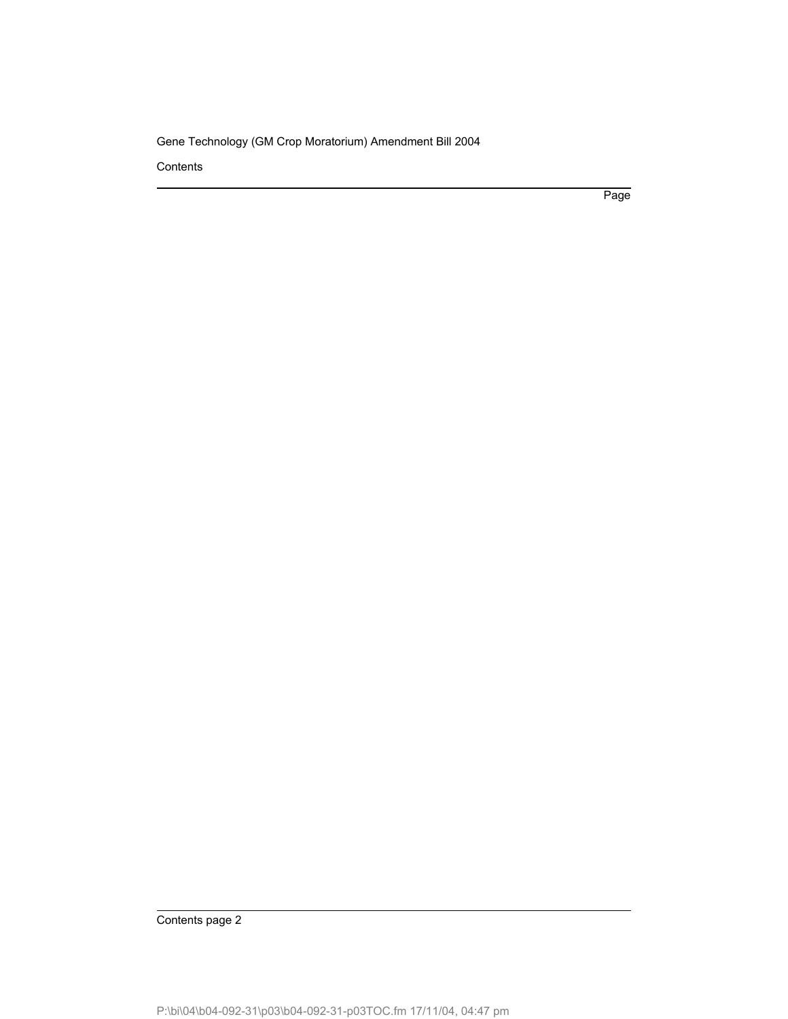**Contents** 

Page

Contents page 2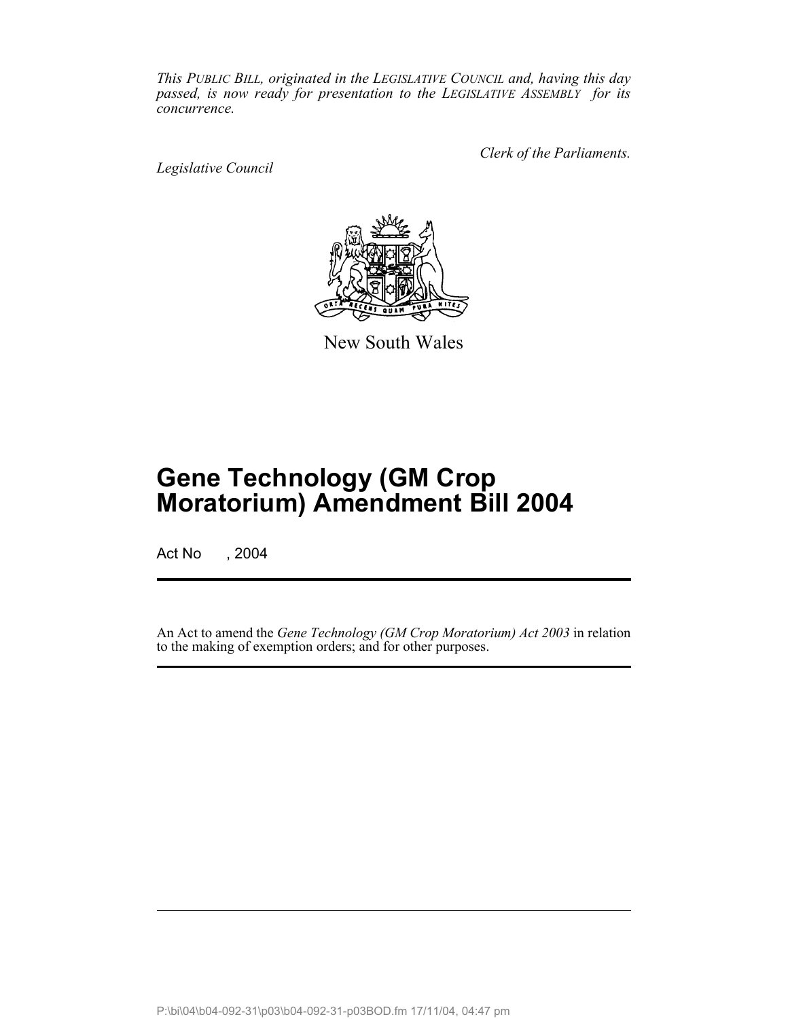*This PUBLIC BILL, originated in the LEGISLATIVE COUNCIL and, having this day passed, is now ready for presentation to the LEGISLATIVE ASSEMBLY for its concurrence.*

*Legislative Council*

*Clerk of the Parliaments.*



New South Wales

## **Gene Technology (GM Crop Moratorium) Amendment Bill 2004**

Act No , 2004

An Act to amend the *Gene Technology (GM Crop Moratorium) Act 2003* in relation to the making of exemption orders; and for other purposes.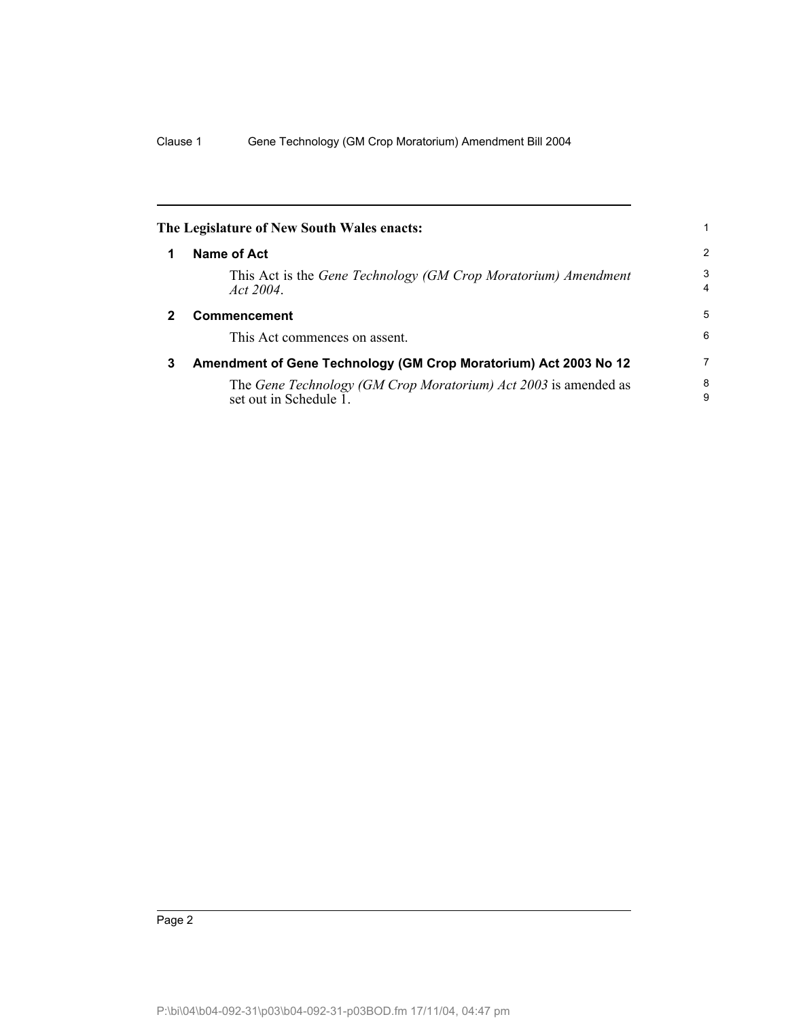|   | The Legislature of New South Wales enacts:                                                |        |
|---|-------------------------------------------------------------------------------------------|--------|
|   | Name of Act                                                                               | 2      |
|   | This Act is the Gene Technology (GM Crop Moratorium) Amendment<br>Act 2004.               | 3<br>4 |
| 2 | Commencement                                                                              | 5      |
|   | This Act commences on assent.                                                             | 6      |
| 3 | Amendment of Gene Technology (GM Crop Moratorium) Act 2003 No 12                          | 7      |
|   | The Gene Technology (GM Crop Moratorium) Act 2003 is amended as<br>set out in Schedule 1. | 8<br>9 |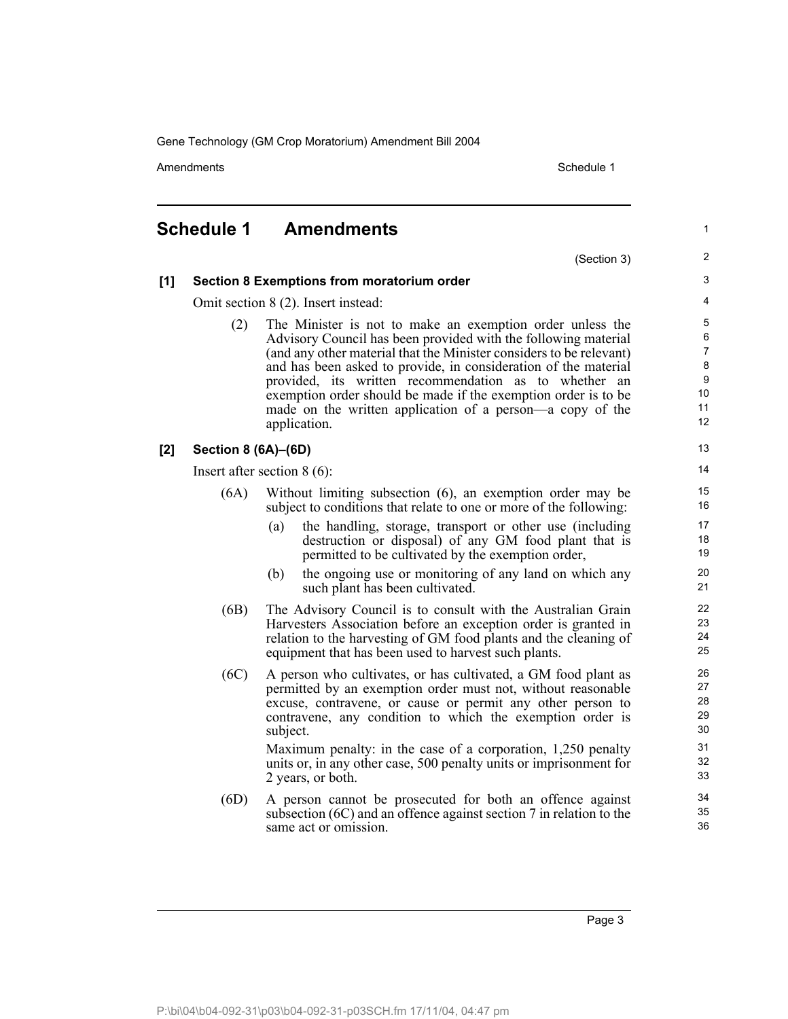Amendments **Amendments** Schedule 1

## **Schedule 1 Amendments** (Section 3) **[1] Section 8 Exemptions from moratorium order** Omit section 8 (2). Insert instead: (2) The Minister is not to make an exemption order unless the Advisory Council has been provided with the following material (and any other material that the Minister considers to be relevant) and has been asked to provide, in consideration of the material provided, its written recommendation as to whether an exemption order should be made if the exemption order is to be made on the written application of a person—a copy of the application. **[2] Section 8 (6A)–(6D)** Insert after section 8 (6): (6A) Without limiting subsection (6), an exemption order may be subject to conditions that relate to one or more of the following: (a) the handling, storage, transport or other use (including destruction or disposal) of any GM food plant that is permitted to be cultivated by the exemption order, (b) the ongoing use or monitoring of any land on which any such plant has been cultivated. (6B) The Advisory Council is to consult with the Australian Grain Harvesters Association before an exception order is granted in relation to the harvesting of GM food plants and the cleaning of equipment that has been used to harvest such plants. (6C) A person who cultivates, or has cultivated, a GM food plant as permitted by an exemption order must not, without reasonable excuse, contravene, or cause or permit any other person to contravene, any condition to which the exemption order is subject. Maximum penalty: in the case of a corporation, 1,250 penalty units or, in any other case, 500 penalty units or imprisonment for 2 years, or both. (6D) A person cannot be prosecuted for both an offence against subsection (6C) and an offence against section 7 in relation to the same act or omission. 1 2 3 4 5 6 7 8 9 10 11 12 13 14 15 16 17 18 19 20 21 22 23 24 25 26 27 28 29 30 31 32 33 34 35 36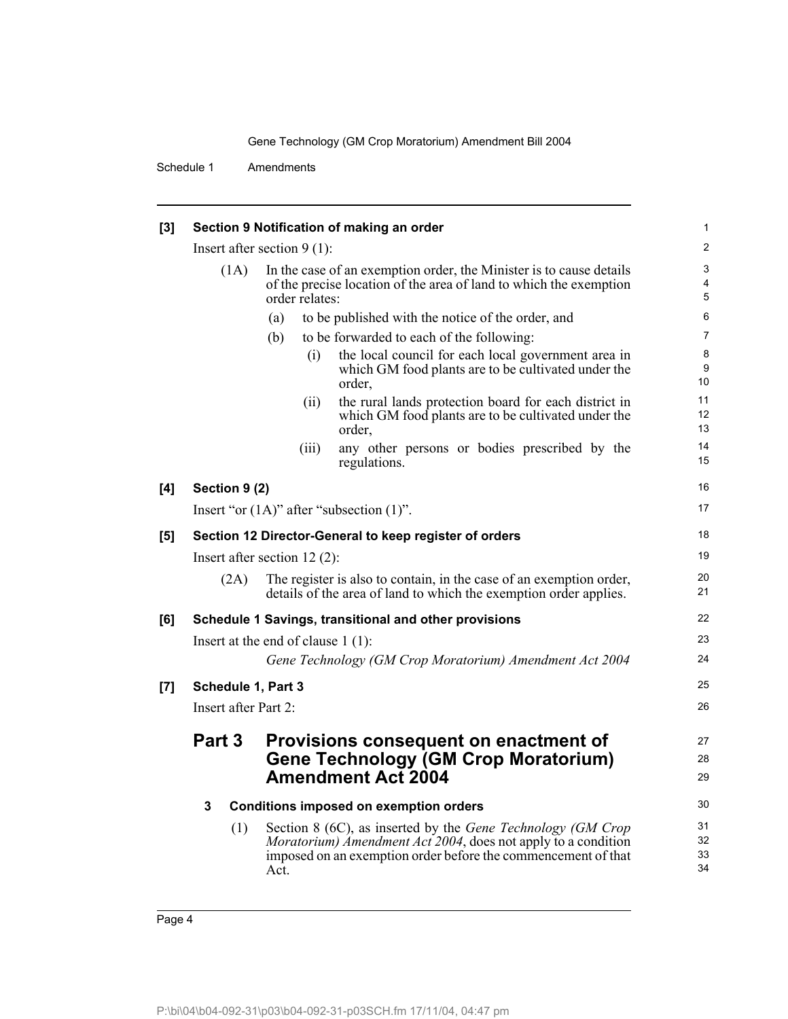Schedule 1 Amendments

| [3]   | Section 9 Notification of making an order                                                                                                                           |                                                                                                                                                                                                                        | 1                    |
|-------|---------------------------------------------------------------------------------------------------------------------------------------------------------------------|------------------------------------------------------------------------------------------------------------------------------------------------------------------------------------------------------------------------|----------------------|
|       | Insert after section $9(1)$ :                                                                                                                                       |                                                                                                                                                                                                                        |                      |
|       | In the case of an exemption order, the Minister is to cause details<br>(1A)<br>of the precise location of the area of land to which the exemption<br>order relates: |                                                                                                                                                                                                                        | 3<br>4<br>5          |
|       |                                                                                                                                                                     | to be published with the notice of the order, and<br>(a)                                                                                                                                                               | 6                    |
|       |                                                                                                                                                                     | to be forwarded to each of the following:<br>(b)                                                                                                                                                                       | 7                    |
|       |                                                                                                                                                                     | the local council for each local government area in<br>(i)<br>which GM food plants are to be cultivated under the<br>order,                                                                                            | 8<br>9<br>10         |
|       |                                                                                                                                                                     | the rural lands protection board for each district in<br>(ii)<br>which GM food plants are to be cultivated under the<br>order,                                                                                         | 11<br>12<br>13       |
|       |                                                                                                                                                                     | any other persons or bodies prescribed by the<br>(iii)<br>regulations.                                                                                                                                                 | 14<br>15             |
| [4]   | Section 9 (2)                                                                                                                                                       |                                                                                                                                                                                                                        | 16                   |
|       |                                                                                                                                                                     | Insert "or $(1A)$ " after "subsection $(1)$ ".                                                                                                                                                                         | 17                   |
| [5]   |                                                                                                                                                                     | Section 12 Director-General to keep register of orders                                                                                                                                                                 | 18                   |
|       |                                                                                                                                                                     | Insert after section $12(2)$ :                                                                                                                                                                                         | 19                   |
|       | (2A)                                                                                                                                                                | The register is also to contain, in the case of an exemption order,<br>details of the area of land to which the exemption order applies.                                                                               | 20<br>21             |
| [6]   |                                                                                                                                                                     | Schedule 1 Savings, transitional and other provisions                                                                                                                                                                  | 22                   |
|       | Insert at the end of clause $1(1)$ :                                                                                                                                |                                                                                                                                                                                                                        |                      |
|       |                                                                                                                                                                     | Gene Technology (GM Crop Moratorium) Amendment Act 2004                                                                                                                                                                | 24                   |
| $[7]$ | Schedule 1, Part 3                                                                                                                                                  |                                                                                                                                                                                                                        | 25                   |
|       | Insert after Part 2:                                                                                                                                                |                                                                                                                                                                                                                        | 26                   |
|       | Part 3                                                                                                                                                              | Provisions consequent on enactment of<br><b>Gene Technology (GM Crop Moratorium)</b><br><b>Amendment Act 2004</b>                                                                                                      | 27<br>28<br>29       |
|       | 3                                                                                                                                                                   | <b>Conditions imposed on exemption orders</b>                                                                                                                                                                          | 30                   |
|       | (1)                                                                                                                                                                 | Section 8 (6C), as inserted by the <i>Gene Technology (GM Crop</i> )<br><i>Moratorium) Amendment Act 2004</i> , does not apply to a condition<br>imposed on an exemption order before the commencement of that<br>Act. | 31<br>32<br>33<br>34 |